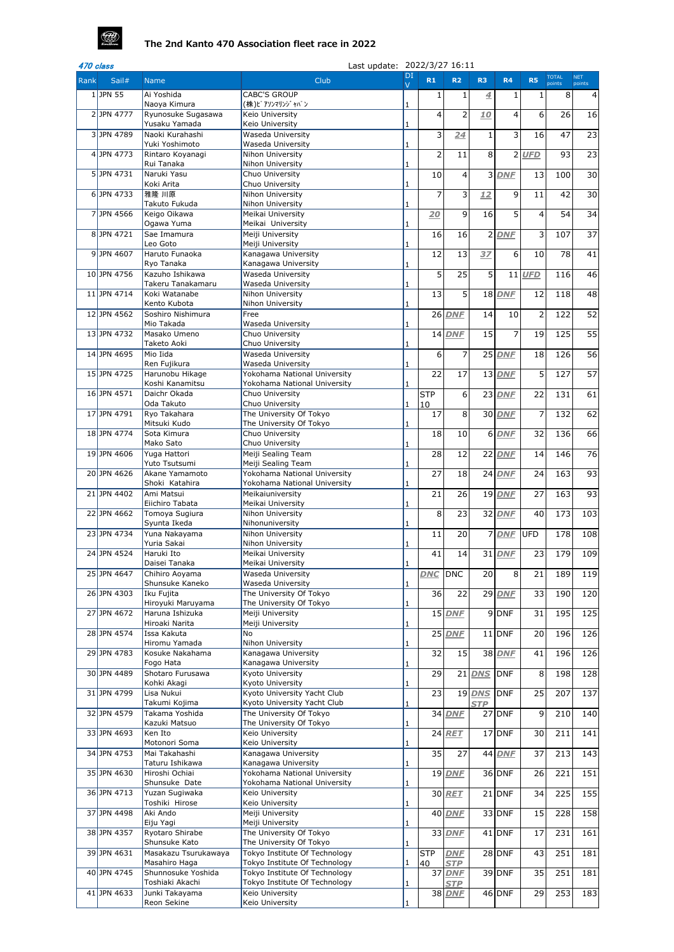| 470 class |              |                                       | Last update: 2022/3/27 16:11                                   |                      |                  |                      |                |                    |                |                        |                      |
|-----------|--------------|---------------------------------------|----------------------------------------------------------------|----------------------|------------------|----------------------|----------------|--------------------|----------------|------------------------|----------------------|
| Rank      | Sail#        | <b>Name</b>                           | Club                                                           | DI<br>$\overline{V}$ | R1               | R <sub>2</sub>       | R <sub>3</sub> | <b>R4</b>          | <b>R5</b>      | <b>TOTAL</b><br>points | <b>NET</b><br>points |
|           | $1$ JPN 55   | Ai Yoshida                            | <b>CABC'S GROUP</b>                                            |                      |                  | 1                    | 4              |                    |                | 8                      | 41                   |
|           |              | Naoya Kimura                          | (株)ピアソンマリンジャパン                                                 |                      |                  |                      |                |                    |                |                        |                      |
|           | 2JPN 4777    | Ryunosuke Sugasawa<br>Yusaku Yamada   | Keio University<br>Keio University                             | 1                    | 4                | $\overline{2}$       | 10             | 4                  | 6              | 26                     | 16                   |
|           | 3JPN 4789    | Naoki Kurahashi                       | Waseda University                                              |                      | 3                | 24                   |                | $\overline{3}$     | 16             | 47                     | 23                   |
|           | 4 $JPN$ 4773 | Yuki Yoshimoto<br>Rintaro Koyanagi    | <b>Waseda University</b><br>Nihon University                   |                      | 2                | 11                   | 8              | $\overline{2}$     | <b>UFD</b>     | 93                     | 23                   |
|           |              | Rui Tanaka                            | Nihon University                                               |                      |                  |                      |                |                    |                |                        |                      |
|           | $5$ JPN 4731 | Naruki Yasu                           | Chuo University                                                |                      | 10               | 4                    |                | 3 DNF              | 13             | 100                    | 30                   |
|           | $6$ JPN 4733 | Koki Arita<br>雅隆 川原                   | Chuo University<br>Nihon University                            |                      | 7                | 3                    | 12             | $\overline{9}$     | 11             | 42                     | 30                   |
|           |              | Takuto Fukuda                         | Nihon University                                               |                      |                  |                      |                |                    |                |                        |                      |
|           | 7JPN 4566    | Keigo Oikawa<br>Ogawa Yuma            | Meikai University<br>Meikai University                         |                      | 20               | $\overline{9}$       | 16             | 5                  | $\overline{4}$ | 54                     | 34                   |
|           | 8JPN 4721    | Sae Imamura                           | Meiji University                                               |                      | 16               | 16                   |                | $2$ DNF            | $\overline{3}$ | 107                    | $\overline{37}$      |
|           |              | Leo Goto                              | Meiji University                                               | 1                    |                  |                      |                |                    |                |                        |                      |
|           | 9JPN 4607    | Haruto Funaoka<br>Ryo Tanaka          | Kanagawa University<br>Kanagawa University                     |                      | 12               | 13                   | 37             | 6                  | 10             | 78                     | 41                   |
|           | 10 JPN 4756  | Kazuho Ishikawa                       | Waseda University                                              |                      | 5                | 25                   | 5              | 11                 | <b>UFD</b>     | 116                    | 46                   |
|           | 11 JPN 4714  | Takeru Tanakamaru<br>Koki Watanabe    | Waseda University<br>Nihon University                          |                      | 13               | 5 <sup>1</sup>       |                | <b>18 DNF</b>      | 12             | 118                    | 48                   |
|           |              | Kento Kubota                          | Nihon University                                               |                      |                  |                      |                |                    |                |                        |                      |
|           | 12 JPN 4562  | Soshiro Nishimura                     | Free                                                           |                      |                  | <b>26 DNF</b>        | 14             | 10                 | $\overline{2}$ | 122                    | 52                   |
|           | 13JPN 4732   | Mio Takada<br>Masako Umeno            | Waseda University<br>Chuo University                           |                      |                  | <b>14 DNF</b>        | 15             | $\overline{7}$     | 19             | 125                    | 55                   |
|           |              | Taketo Aoki                           | Chuo University                                                |                      |                  |                      |                |                    |                |                        |                      |
|           | 14 JPN 4695  | Mio Iida                              | Waseda University                                              |                      | 6                | 7                    |                | $25$ DNF           | 18             | 126                    | 56                   |
|           | 15JPN 4725   | Ren Fujikura<br>Harunobu Hikage       | Waseda University<br>Yokohama National University              |                      | 22               | 17                   |                | $13$ DNF           | 5              | 127                    | $\overline{57}$      |
|           |              | Koshi Kanamitsu                       | Yokohama National University                                   |                      |                  |                      |                |                    |                |                        |                      |
|           | 16 JPN 4571  | Daichr Okada<br>Oda Takuto            | Chuo University<br>Chuo University                             | 1                    | <b>STP</b><br>10 | $6 \mid$             |                | 23 DNF             | 22             | 131                    | 61                   |
|           | 17JPN 4791   | Ryo Takahara                          | The University Of Tokyo                                        |                      | 17               | 8 <sup>1</sup>       |                | 30 DNF             | 7              | 132                    | 62                   |
|           |              | Mitsuki Kudo                          | The University Of Tokyo                                        | 1                    |                  |                      |                |                    |                |                        |                      |
|           | 18JPN 4774   | Sota Kimura<br>Mako Sato              | Chuo University<br>Chuo University                             |                      | 18               | 10                   |                | 6DNF               | 32             | 136                    | 66                   |
|           | 19JPN 4606   | Yuga Hattori                          | Meiji Sealing Team                                             |                      | 28               | 12                   |                | $22$ DNF           | 14             | 146                    | 76                   |
|           | 20JPN 4626   | Yuto Tsutsumi<br>Akane Yamamoto       | Meiji Sealing Team<br>Yokohama National University             |                      | 27               | 18                   |                | $24$ DNF           | 24             | 163                    | 93                   |
|           |              | Shoki Katahira                        | Yokohama National University                                   | 1                    |                  |                      |                |                    |                |                        |                      |
|           | 21JPN 4402   | Ami Matsui                            | Meikaiuniversity                                               |                      | 21               | 26                   |                | <b>19 DNF</b>      | 27             | 163                    | 93                   |
|           | 22JPN 4662   | Eiichiro Tabata<br>Tomoya Sugiura     | Meikai University<br>Nihon University                          |                      | 8                | 23                   |                | 32 DNF             | 40             | 173                    | 103                  |
|           |              | Syunta Ikeda                          | Nihonuniversity                                                |                      |                  |                      |                |                    |                |                        |                      |
|           | 23JPN 4734   | Yuna Nakayama<br>Yuria Sakai          | Nihon University<br>Nihon University                           |                      | 11               | 20                   |                | 7 DNF              | <b>UFD</b>     | 178                    | 108                  |
|           | 24 JPN 4524  | Haruki Ito                            | Meikai University                                              |                      | 41               | 14                   |                | 31 DNF             | 23             | 179                    | 109                  |
|           |              | Daisei Tanaka                         | Meikai University                                              |                      |                  |                      |                |                    |                |                        |                      |
|           | 25 JPN 4647  | Chihiro Aoyama<br>Shunsuke Kaneko     | <b>Waseda University</b><br>Waseda University                  |                      | <b>DNC</b>       | <b>DNC</b>           | 20             | 8 <sup>1</sup>     | 21             | 189                    | 119                  |
|           | 26JPN 4303   | Iku Fujita                            | The University Of Tokyo                                        |                      | 36               | 22                   |                | $29$ DNF           | 33             | 190                    | 120                  |
|           | 27JPN 4672   | Hiroyuki Maruyama<br>Haruna Ishizuka  | The University Of Tokyo<br>Meiji University                    |                      |                  | <b>15 DNF</b>        |                | $\overline{9}$ DNF | 31             | 195                    | 125                  |
|           |              | Hiroaki Narita                        | Meiji University                                               |                      |                  |                      |                |                    |                |                        |                      |
|           | 28JPN 4574   | Issa Kakuta<br>Hiromu Yamada          | No<br>Nihon University                                         |                      |                  | 25 DNF               |                | $11$ DNF           | 20             | 196                    | 126                  |
|           | 29JPN 4783   | Kosuke Nakahama                       | Kanagawa University                                            |                      | 32               | 15                   |                | <b>38 DNF</b>      | 41             | 196                    | 126                  |
|           |              | Fogo Hata                             | Kanagawa University                                            | -1                   |                  |                      |                |                    |                |                        |                      |
|           | 30 JPN 4489  | Shotaro Furusawa<br>Kohki Akagi       | Kyoto University<br>Kyoto University                           | 1                    | 29               | 21                   | <b>DNS</b>     | DNF                | 8              | 198                    | 128                  |
|           | 31 JPN 4799  | Lisa Nukui                            | Kyoto University Yacht Club                                    |                      | 23               | 19                   | <b>DNS</b>     | <b>DNF</b>         | 25             | 207                    | 137                  |
|           | 32JPN 4579   | Takumi Kojima<br>Takama Yoshida       | Kyoto University Yacht Club<br>The University Of Tokyo         |                      |                  | $\overline{3}$ 4 DNF | <b>STP</b>     | $27$ DNF           | 9              | 210                    | 140                  |
|           |              | Kazuki Matsuo                         | The University Of Tokyo                                        |                      |                  |                      |                |                    |                |                        |                      |
|           | 33 JPN 4693  | Ken Ito                               | Keio University                                                |                      |                  | <b>24 RET</b>        |                | 17 DNF             | 30             | 211                    | 141                  |
|           | 34 JPN 4753  | Motonori Soma<br>Mai Takahashi        | Keio University<br>Kanagawa University                         |                      | 35               | 27                   |                | <b>44 DNF</b>      | 37             | 213                    | 143                  |
|           |              | Taturu Ishikawa                       | Kanagawa University                                            |                      |                  |                      |                |                    |                |                        |                      |
|           | 35 JPN 4630  | Hiroshi Ochiai<br>Shunsuke Date       | Yokohama National University<br>Yokohama National University   | 1                    |                  | <b>19 DNF</b>        |                | 36 DNF             | 26             | 221                    | 151                  |
|           | 36 JPN 4713  | Yuzan Sugiwaka                        | Keio University                                                |                      |                  | 30 RET               |                | $21$ DNF           | 34             | 225                    | 155                  |
|           | 37JPN 4498   | Toshiki Hirose<br>Aki Ando            | Keio University<br>Meiji University                            | 1                    |                  |                      |                |                    |                |                        |                      |
|           |              | Eiju Yagi                             | Meiji University                                               | 1                    |                  | <b>40 DNF</b>        |                | 33 DNF             | 15             | 228                    | 158                  |
|           | 38 JPN 4357  | Ryotaro Shirabe                       | The University Of Tokyo                                        |                      |                  | 33 DNF               |                | $41$ DNF           | 17             | 231                    | 161                  |
|           | 39JPN 4631   | Shunsuke Kato<br>Masakazu Tsurukawaya | The University Of Tokyo<br>Tokyo Institute Of Technology       | 1                    | <b>STP</b>       | <b>DNF</b>           |                | $28$ DNF           | 43             | 251                    | 181                  |
|           |              | Masahiro Haga                         | Tokyo Institute Of Technology                                  | 1                    | 40               | <b>STP</b>           |                |                    |                |                        |                      |
|           | 40 JPN 4745  | Shunnosuke Yoshida<br>Toshiaki Akachi | Tokyo Institute Of Technology<br>Tokyo Institute Of Technology |                      | 37               | <b>DNF</b>           |                | 39 DNF             | 35             | 251                    | 181                  |
|           | 41 JPN 4633  | Junki Takayama                        | Keio University                                                |                      |                  | <b>STP</b><br>38 DNF |                | 46 DNF             | 29             | 253                    | 183                  |
|           |              | Reon Sekine                           | Keio University                                                |                      |                  |                      |                |                    |                |                        |                      |